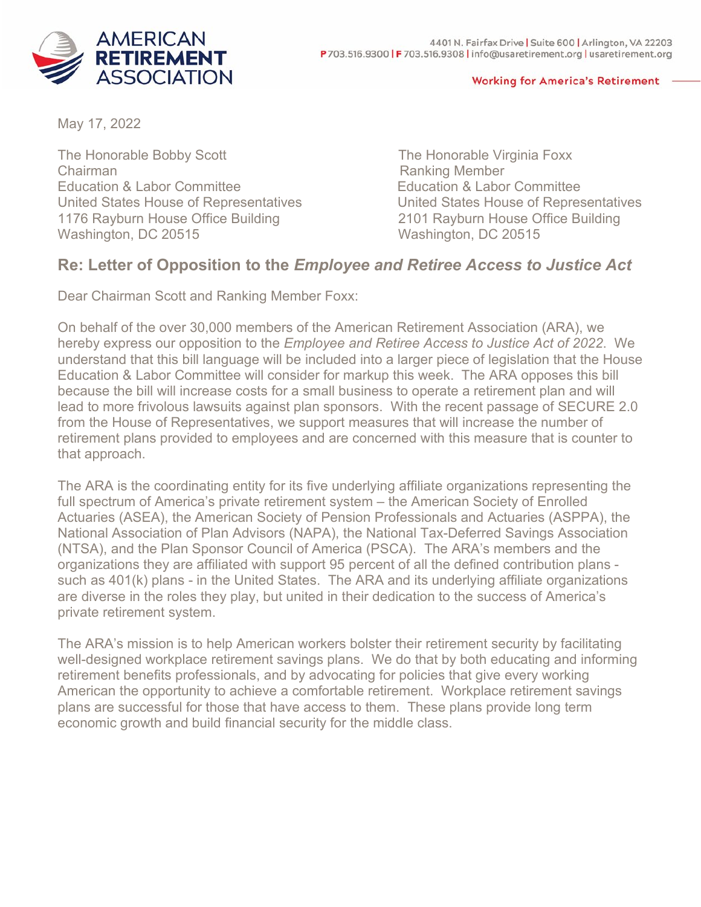

## **Working for America's Retirement**

May 17, 2022

The Honorable Bobby Scott The Honorable Virginia Foxx Chairman **Chairman** Ranking Member United States House of Representatives 1176 Rayburn House Office Building 2101 Rayburn House Office Building<br>Washington, DC 20515 Washington, DC 20515

Education & Labor Committee<br>
United States House of Representatives<br>
United States House of Representatives Washington, DC 20515

## **Re: Letter of Opposition to the** *Employee and Retiree Access to Justice Act*

Dear Chairman Scott and Ranking Member Foxx:

On behalf of the over 30,000 members of the American Retirement Association (ARA), we hereby express our opposition to the *Employee and Retiree Access to Justice Act of 2022*. We understand that this bill language will be included into a larger piece of legislation that the House Education & Labor Committee will consider for markup this week. The ARA opposes this bill because the bill will increase costs for a small business to operate a retirement plan and will lead to more frivolous lawsuits against plan sponsors. With the recent passage of SECURE 2.0 from the House of Representatives, we support measures that will increase the number of retirement plans provided to employees and are concerned with this measure that is counter to that approach.

The ARA is the coordinating entity for its five underlying affiliate organizations representing the full spectrum of America's private retirement system – the American Society of Enrolled Actuaries (ASEA), the American Society of Pension Professionals and Actuaries (ASPPA), the National Association of Plan Advisors (NAPA), the National Tax-Deferred Savings Association (NTSA), and the Plan Sponsor Council of America (PSCA). The ARA's members and the organizations they are affiliated with support 95 percent of all the defined contribution plans such as 401(k) plans - in the United States. The ARA and its underlying affiliate organizations are diverse in the roles they play, but united in their dedication to the success of America's private retirement system.

The ARA's mission is to help American workers bolster their retirement security by facilitating well-designed workplace retirement savings plans. We do that by both educating and informing retirement benefits professionals, and by advocating for policies that give every working American the opportunity to achieve a comfortable retirement. Workplace retirement savings plans are successful for those that have access to them. These plans provide long term economic growth and build financial security for the middle class.